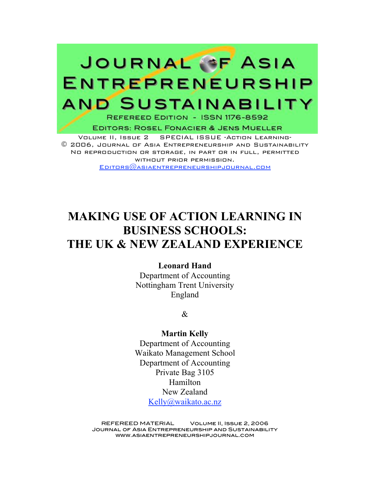# JOURNAL OF ASIA **ENTREPRENEURSHIP AND SUSTAINABILITY**

REFEREED EDITION - ISSN 1176-8592

**EDITORS: ROSEL FONACIER & JENS MUELLER** 

Volume II, Issue 2 SPECIAL ISSUE -Action Learning- © 2006, Journal of Asia Entrepreneurship and Sustainability No reproduction or storage, in part or in full, permitted without prior permission.  $EDITORS@$ ASIAENTREPRENEURSHIPJOURNAL.COM

## **MAKING USE OF ACTION LEARNING IN BUSINESS SCHOOLS: THE UK & NEW ZEALAND EXPERIENCE**

#### **Leonard Hand**

Department of Accounting Nottingham Trent University England

 $\mathcal{R}$ 

**Martin Kelly** Department of Accounting Waikato Management School Department of Accounting Private Bag 3105 Hamilton New Zealand Kelly@waikato.ac.nz

REFEREED MATERIAL Volume II, Issue 2, 2006 Journal of Asia Entrepreneurship and Sustainability www.asiaentrepreneurshipjournal.com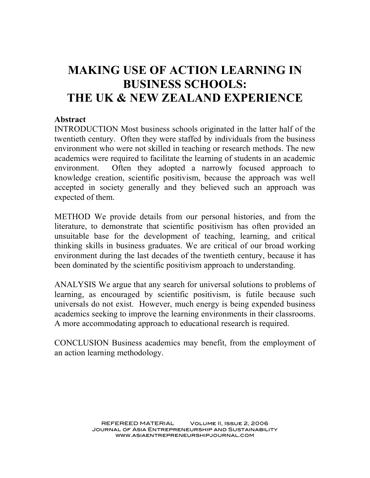## **MAKING USE OF ACTION LEARNING IN BUSINESS SCHOOLS: THE UK & NEW ZEALAND EXPERIENCE**

#### **Abstract**

INTRODUCTION Most business schools originated in the latter half of the twentieth century. Often they were staffed by individuals from the business environment who were not skilled in teaching or research methods. The new academics were required to facilitate the learning of students in an academic environment. Often they adopted a narrowly focused approach to knowledge creation, scientific positivism, because the approach was well accepted in society generally and they believed such an approach was expected of them.

METHOD We provide details from our personal histories, and from the literature, to demonstrate that scientific positivism has often provided an unsuitable base for the development of teaching, learning, and critical thinking skills in business graduates. We are critical of our broad working environment during the last decades of the twentieth century, because it has been dominated by the scientific positivism approach to understanding.

ANALYSIS We argue that any search for universal solutions to problems of learning, as encouraged by scientific positivism, is futile because such universals do not exist. However, much energy is being expended business academics seeking to improve the learning environments in their classrooms. A more accommodating approach to educational research is required.

CONCLUSION Business academics may benefit, from the employment of an action learning methodology.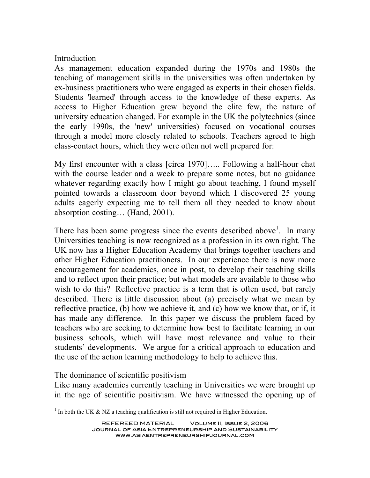### **Introduction**

As management education expanded during the 1970s and 1980s the teaching of management skills in the universities was often undertaken by ex-business practitioners who were engaged as experts in their chosen fields. Students 'learned' through access to the knowledge of these experts. As access to Higher Education grew beyond the elite few, the nature of university education changed. For example in the UK the polytechnics (since the early 1990s, the 'new' universities) focused on vocational courses through a model more closely related to schools. Teachers agreed to high class-contact hours, which they were often not well prepared for:

My first encounter with a class [circa 1970]….. Following a half-hour chat with the course leader and a week to prepare some notes, but no guidance whatever regarding exactly how I might go about teaching, I found myself pointed towards a classroom door beyond which I discovered 25 young adults eagerly expecting me to tell them all they needed to know about absorption costing… (Hand, 2001).

There has been some progress since the events described above<sup>1</sup>. In many Universities teaching is now recognized as a profession in its own right. The UK now has a Higher Education Academy that brings together teachers and other Higher Education practitioners. In our experience there is now more encouragement for academics, once in post, to develop their teaching skills and to reflect upon their practice; but what models are available to those who wish to do this? Reflective practice is a term that is often used, but rarely described. There is little discussion about (a) precisely what we mean by reflective practice, (b) how we achieve it, and (c) how we know that, or if, it has made any difference. In this paper we discuss the problem faced by teachers who are seeking to determine how best to facilitate learning in our business schools, which will have most relevance and value to their students' developments. We argue for a critical approach to education and the use of the action learning methodology to help to achieve this.

The dominance of scientific positivism

Like many academics currently teaching in Universities we were brought up in the age of scientific positivism. We have witnessed the opening up of

 $1$  In both the UK & NZ a teaching qualification is still not required in Higher Education.

REFEREED MATERIAL Volume II, Issue 2, 2006 Journal of Asia Entrepreneurship and Sustainability www.asiaentrepreneurshipjournal.com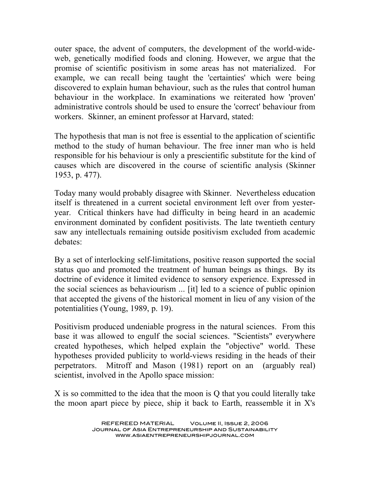outer space, the advent of computers, the development of the world-wideweb, genetically modified foods and cloning. However, we argue that the promise of scientific positivism in some areas has not materialized. For example, we can recall being taught the 'certainties' which were being discovered to explain human behaviour, such as the rules that control human behaviour in the workplace. In examinations we reiterated how 'proven' administrative controls should be used to ensure the 'correct' behaviour from workers. Skinner, an eminent professor at Harvard, stated:

The hypothesis that man is not free is essential to the application of scientific method to the study of human behaviour. The free inner man who is held responsible for his behaviour is only a prescientific substitute for the kind of causes which are discovered in the course of scientific analysis (Skinner 1953, p. 477).

Today many would probably disagree with Skinner. Nevertheless education itself is threatened in a current societal environment left over from yesteryear. Critical thinkers have had difficulty in being heard in an academic environment dominated by confident positivists. The late twentieth century saw any intellectuals remaining outside positivism excluded from academic debates:

By a set of interlocking self-limitations, positive reason supported the social status quo and promoted the treatment of human beings as things. By its doctrine of evidence it limited evidence to sensory experience. Expressed in the social sciences as behaviourism ... [it] led to a science of public opinion that accepted the givens of the historical moment in lieu of any vision of the potentialities (Young, 1989, p. 19).

Positivism produced undeniable progress in the natural sciences. From this base it was allowed to engulf the social sciences. "Scientists" everywhere created hypotheses, which helped explain the "objective" world. These hypotheses provided publicity to world-views residing in the heads of their perpetrators. Mitroff and Mason (1981) report on an (arguably real) scientist, involved in the Apollo space mission:

X is so committed to the idea that the moon is Q that you could literally take the moon apart piece by piece, ship it back to Earth, reassemble it in X's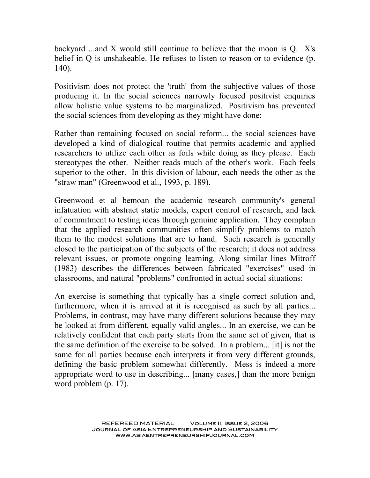backyard ...and X would still continue to believe that the moon is Q. X's belief in Q is unshakeable. He refuses to listen to reason or to evidence (p. 140).

Positivism does not protect the 'truth' from the subjective values of those producing it. In the social sciences narrowly focused positivist enquiries allow holistic value systems to be marginalized. Positivism has prevented the social sciences from developing as they might have done:

Rather than remaining focused on social reform... the social sciences have developed a kind of dialogical routine that permits academic and applied researchers to utilize each other as foils while doing as they please. Each stereotypes the other. Neither reads much of the other's work. Each feels superior to the other. In this division of labour, each needs the other as the "straw man" (Greenwood et al., 1993, p. 189).

Greenwood et al bemoan the academic research community's general infatuation with abstract static models, expert control of research, and lack of commitment to testing ideas through genuine application. They complain that the applied research communities often simplify problems to match them to the modest solutions that are to hand. Such research is generally closed to the participation of the subjects of the research; it does not address relevant issues, or promote ongoing learning. Along similar lines Mitroff (1983) describes the differences between fabricated "exercises" used in classrooms, and natural "problems" confronted in actual social situations:

An exercise is something that typically has a single correct solution and, furthermore, when it is arrived at it is recognised as such by all parties... Problems, in contrast, may have many different solutions because they may be looked at from different, equally valid angles... In an exercise, we can be relatively confident that each party starts from the same set of given, that is the same definition of the exercise to be solved. In a problem... [it] is not the same for all parties because each interprets it from very different grounds, defining the basic problem somewhat differently. Mess is indeed a more appropriate word to use in describing... [many cases,] than the more benign word problem (p. 17).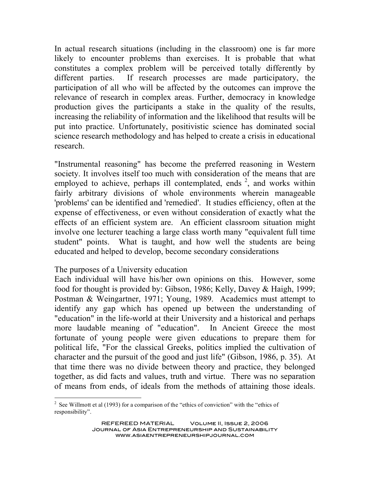In actual research situations (including in the classroom) one is far more likely to encounter problems than exercises. It is probable that what constitutes a complex problem will be perceived totally differently by different parties. If research processes are made participatory, the participation of all who will be affected by the outcomes can improve the relevance of research in complex areas. Further, democracy in knowledge production gives the participants a stake in the quality of the results, increasing the reliability of information and the likelihood that results will be put into practice. Unfortunately, positivistic science has dominated social science research methodology and has helped to create a crisis in educational research.

"Instrumental reasoning" has become the preferred reasoning in Western society. It involves itself too much with consideration of the means that are employed to achieve, perhaps ill contemplated, ends  $2$ , and works within fairly arbitrary divisions of whole environments wherein manageable 'problems' can be identified and 'remedied'. It studies efficiency, often at the expense of effectiveness, or even without consideration of exactly what the effects of an efficient system are. An efficient classroom situation might involve one lecturer teaching a large class worth many "equivalent full time student" points. What is taught, and how well the students are being educated and helped to develop, become secondary considerations

#### The purposes of a University education

Each individual will have his/her own opinions on this. However, some food for thought is provided by: Gibson, 1986; Kelly, Davey & Haigh, 1999; Postman & Weingartner, 1971; Young, 1989. Academics must attempt to identify any gap which has opened up between the understanding of "education" in the life-world at their University and a historical and perhaps more laudable meaning of "education". In Ancient Greece the most fortunate of young people were given educations to prepare them for political life, "For the classical Greeks, politics implied the cultivation of character and the pursuit of the good and just life" (Gibson, 1986, p. 35). At that time there was no divide between theory and practice, they belonged together, as did facts and values, truth and virtue. There was no separation of means from ends, of ideals from the methods of attaining those ideals.

<sup>&</sup>lt;sup>2</sup> See Willmott et al (1993) for a comparison of the "ethics of conviction" with the "ethics of responsibility".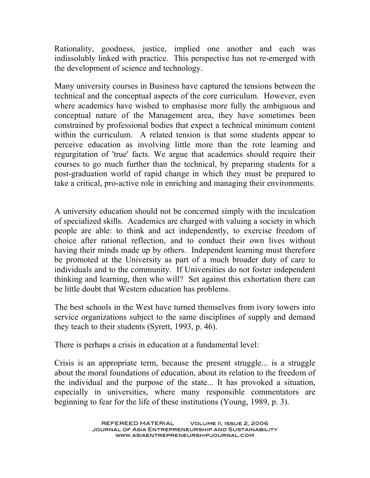Rationality, goodness, justice, implied one another and each was indissolubly linked with practice. This perspective has not re-emerged with the development of science and technology.

Many university courses in Business have captured the tensions between the technical and the conceptual aspects of the core curriculum. However, even where academics have wished to emphasise more fully the ambiguous and conceptual nature of the Management area, they have sometimes been constrained by professional bodies that expect a technical minimum content within the curriculum. A related tension is that some students appear to perceive education as involving little more than the rote learning and regurgitation of 'true' facts. We argue that academics should require their courses to go much further than the technical, by preparing students for a post-graduation world of rapid change in which they must be prepared to take a critical, pro-active role in enriching and managing their environments.

A university education should not be concerned simply with the inculcation of specialized skills. Academics are charged with valuing a society in which people are able: to think and act independently, to exercise freedom of choice after rational reflection, and to conduct their own lives without having their minds made up by others. Independent learning must therefore be promoted at the University as part of a much broader duty of care to individuals and to the community. If Universities do not foster independent thinking and learning, then who will? Set against this exhortation there can be little doubt that Western education has problems.

The best schools in the West have turned themselves from ivory towers into service organizations subject to the same disciplines of supply and demand they teach to their students (Syrett, 1993, p. 46).

There is perhaps a crisis in education at a fundamental level:

Crisis is an appropriate term, because the present struggle... is a struggle about the moral foundations of education, about its relation to the freedom of the individual and the purpose of the state... It has provoked a situation, especially in universities, where many responsible commentators are beginning to fear for the life of these institutions (Young, 1989, p. 3).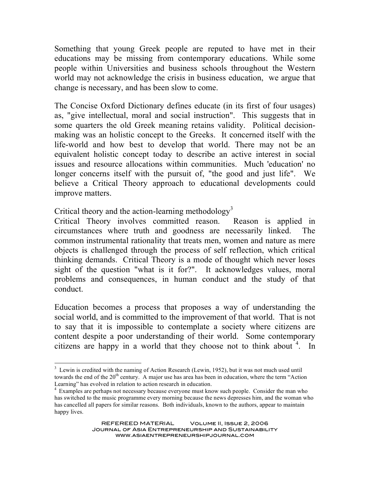Something that young Greek people are reputed to have met in their educations may be missing from contemporary educations. While some people within Universities and business schools throughout the Western world may not acknowledge the crisis in business education, we argue that change is necessary, and has been slow to come.

The Concise Oxford Dictionary defines educate (in its first of four usages) as, "give intellectual, moral and social instruction". This suggests that in some quarters the old Greek meaning retains validity. Political decisionmaking was an holistic concept to the Greeks. It concerned itself with the life-world and how best to develop that world. There may not be an equivalent holistic concept today to describe an active interest in social issues and resource allocations within communities. Much 'education' no longer concerns itself with the pursuit of, "the good and just life". We believe a Critical Theory approach to educational developments could improve matters.

Critical theory and the action-learning methodology<sup>3</sup>

Critical Theory involves committed reason. Reason is applied in circumstances where truth and goodness are necessarily linked. The common instrumental rationality that treats men, women and nature as mere objects is challenged through the process of self reflection, which critical thinking demands. Critical Theory is a mode of thought which never loses sight of the question "what is it for?". It acknowledges values, moral problems and consequences, in human conduct and the study of that conduct.

Education becomes a process that proposes a way of understanding the social world, and is committed to the improvement of that world. That is not to say that it is impossible to contemplate a society where citizens are content despite a poor understanding of their world. Some contemporary citizens are happy in a world that they choose not to think about  $4$ . In

<sup>&</sup>lt;sup>3</sup> Lewin is credited with the naming of Action Research (Lewin, 1952), but it was not much used until towards the end of the  $20<sup>th</sup>$  century. A major use has area has been in education, where the term "Action" Learning" has evolved in relation to action research in education.<br><sup>4</sup> Examples are perhaps not necessary because everyone must know such people. Consider the man who

has switched to the music programme every morning because the news depresses him, and the woman who has cancelled all papers for similar reasons. Both individuals, known to the authors, appear to maintain happy lives.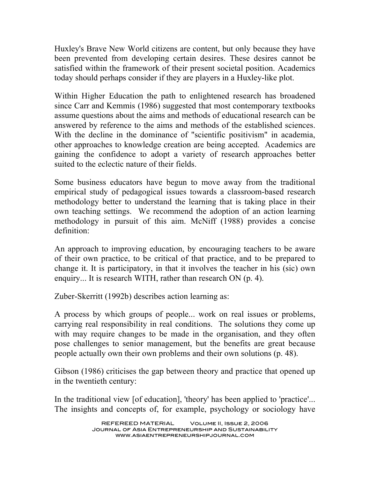Huxley's Brave New World citizens are content, but only because they have been prevented from developing certain desires. These desires cannot be satisfied within the framework of their present societal position. Academics today should perhaps consider if they are players in a Huxley-like plot.

Within Higher Education the path to enlightened research has broadened since Carr and Kemmis (1986) suggested that most contemporary textbooks assume questions about the aims and methods of educational research can be answered by reference to the aims and methods of the established sciences. With the decline in the dominance of "scientific positivism" in academia, other approaches to knowledge creation are being accepted. Academics are gaining the confidence to adopt a variety of research approaches better suited to the eclectic nature of their fields.

Some business educators have begun to move away from the traditional empirical study of pedagogical issues towards a classroom-based research methodology better to understand the learning that is taking place in their own teaching settings. We recommend the adoption of an action learning methodology in pursuit of this aim. McNiff (1988) provides a concise definition:

An approach to improving education, by encouraging teachers to be aware of their own practice, to be critical of that practice, and to be prepared to change it. It is participatory, in that it involves the teacher in his (sic) own enquiry... It is research WITH, rather than research ON (p. 4).

Zuber-Skerritt (1992b) describes action learning as:

A process by which groups of people... work on real issues or problems, carrying real responsibility in real conditions. The solutions they come up with may require changes to be made in the organisation, and they often pose challenges to senior management, but the benefits are great because people actually own their own problems and their own solutions (p. 48).

Gibson (1986) criticises the gap between theory and practice that opened up in the twentieth century:

In the traditional view [of education], 'theory' has been applied to 'practice'... The insights and concepts of, for example, psychology or sociology have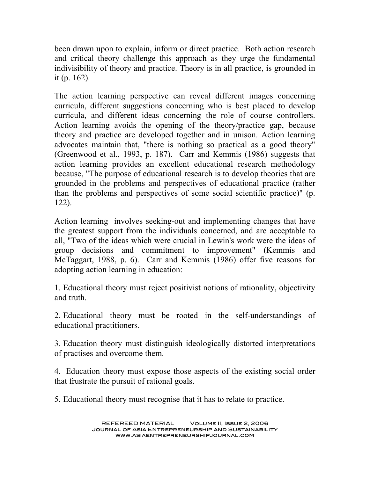been drawn upon to explain, inform or direct practice. Both action research and critical theory challenge this approach as they urge the fundamental indivisibility of theory and practice. Theory is in all practice, is grounded in it (p. 162).

The action learning perspective can reveal different images concerning curricula, different suggestions concerning who is best placed to develop curricula, and different ideas concerning the role of course controllers. Action learning avoids the opening of the theory/practice gap, because theory and practice are developed together and in unison. Action learning advocates maintain that, "there is nothing so practical as a good theory" (Greenwood et al., 1993, p. 187). Carr and Kemmis (1986) suggests that action learning provides an excellent educational research methodology because, "The purpose of educational research is to develop theories that are grounded in the problems and perspectives of educational practice (rather than the problems and perspectives of some social scientific practice)" (p. 122).

Action learning involves seeking-out and implementing changes that have the greatest support from the individuals concerned, and are acceptable to all, "Two of the ideas which were crucial in Lewin's work were the ideas of group decisions and commitment to improvement" (Kemmis and McTaggart, 1988, p. 6). Carr and Kemmis (1986) offer five reasons for adopting action learning in education:

1. Educational theory must reject positivist notions of rationality, objectivity and truth.

2. Educational theory must be rooted in the self-understandings of educational practitioners.

3. Education theory must distinguish ideologically distorted interpretations of practises and overcome them.

4. Education theory must expose those aspects of the existing social order that frustrate the pursuit of rational goals.

5. Educational theory must recognise that it has to relate to practice.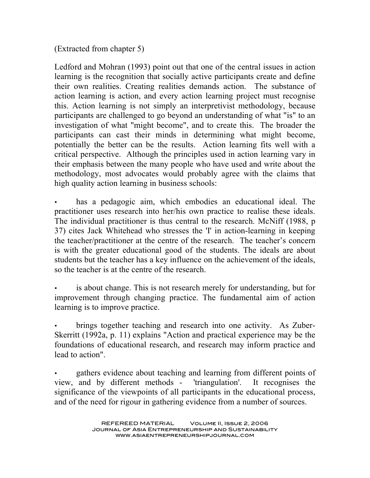(Extracted from chapter 5)

Ledford and Mohran (1993) point out that one of the central issues in action learning is the recognition that socially active participants create and define their own realities. Creating realities demands action. The substance of action learning is action, and every action learning project must recognise this. Action learning is not simply an interpretivist methodology, because participants are challenged to go beyond an understanding of what "is" to an investigation of what "might become", and to create this. The broader the participants can cast their minds in determining what might become, potentially the better can be the results. Action learning fits well with a critical perspective. Although the principles used in action learning vary in their emphasis between the many people who have used and write about the methodology, most advocates would probably agree with the claims that high quality action learning in business schools:

has a pedagogic aim, which embodies an educational ideal. The practitioner uses research into her/his own practice to realise these ideals. The individual practitioner is thus central to the research. McNiff (1988, p 37) cites Jack Whitehead who stresses the 'I' in action-learning in keeping the teacher/practitioner at the centre of the research. The teacher's concern is with the greater educational good of the students. The ideals are about students but the teacher has a key influence on the achievement of the ideals, so the teacher is at the centre of the research.

is about change. This is not research merely for understanding, but for improvement through changing practice. The fundamental aim of action learning is to improve practice.

• brings together teaching and research into one activity. As Zuber-Skerritt (1992a, p. 11) explains "Action and practical experience may be the foundations of educational research, and research may inform practice and lead to action".

gathers evidence about teaching and learning from different points of view, and by different methods - 'triangulation'. It recognises the significance of the viewpoints of all participants in the educational process, and of the need for rigour in gathering evidence from a number of sources.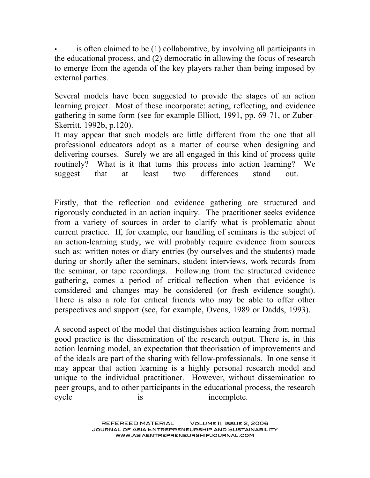is often claimed to be (1) collaborative, by involving all participants in the educational process, and (2) democratic in allowing the focus of research to emerge from the agenda of the key players rather than being imposed by external parties.

Several models have been suggested to provide the stages of an action learning project. Most of these incorporate: acting, reflecting, and evidence gathering in some form (see for example Elliott, 1991, pp. 69-71, or Zuber-Skerritt, 1992b, p.120).

It may appear that such models are little different from the one that all professional educators adopt as a matter of course when designing and delivering courses. Surely we are all engaged in this kind of process quite routinely? What is it that turns this process into action learning? We suggest that at least two differences stand out.

Firstly, that the reflection and evidence gathering are structured and rigorously conducted in an action inquiry. The practitioner seeks evidence from a variety of sources in order to clarify what is problematic about current practice. If, for example, our handling of seminars is the subject of an action-learning study, we will probably require evidence from sources such as: written notes or diary entries (by ourselves and the students) made during or shortly after the seminars, student interviews, work records from the seminar, or tape recordings. Following from the structured evidence gathering, comes a period of critical reflection when that evidence is considered and changes may be considered (or fresh evidence sought). There is also a role for critical friends who may be able to offer other perspectives and support (see, for example, Ovens, 1989 or Dadds, 1993).

A second aspect of the model that distinguishes action learning from normal good practice is the dissemination of the research output. There is, in this action learning model, an expectation that theorisation of improvements and of the ideals are part of the sharing with fellow-professionals. In one sense it may appear that action learning is a highly personal research model and unique to the individual practitioner. However, without dissemination to peer groups, and to other participants in the educational process, the research cycle is is incomplete.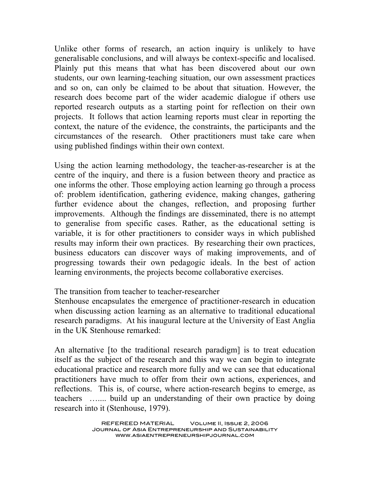Unlike other forms of research, an action inquiry is unlikely to have generalisable conclusions, and will always be context-specific and localised. Plainly put this means that what has been discovered about our own students, our own learning-teaching situation, our own assessment practices and so on, can only be claimed to be about that situation. However, the research does become part of the wider academic dialogue if others use reported research outputs as a starting point for reflection on their own projects. It follows that action learning reports must clear in reporting the context, the nature of the evidence, the constraints, the participants and the circumstances of the research. Other practitioners must take care when using published findings within their own context.

Using the action learning methodology, the teacher-as-researcher is at the centre of the inquiry, and there is a fusion between theory and practice as one informs the other. Those employing action learning go through a process of: problem identification, gathering evidence, making changes, gathering further evidence about the changes, reflection, and proposing further improvements. Although the findings are disseminated, there is no attempt to generalise from specific cases. Rather, as the educational setting is variable, it is for other practitioners to consider ways in which published results may inform their own practices. By researching their own practices, business educators can discover ways of making improvements, and of progressing towards their own pedagogic ideals. In the best of action learning environments, the projects become collaborative exercises.

#### The transition from teacher to teacher-researcher

Stenhouse encapsulates the emergence of practitioner-research in education when discussing action learning as an alternative to traditional educational research paradigms. At his inaugural lecture at the University of East Anglia in the UK Stenhouse remarked:

An alternative [to the traditional research paradigm] is to treat education itself as the subject of the research and this way we can begin to integrate educational practice and research more fully and we can see that educational practitioners have much to offer from their own actions, experiences, and reflections. This is, of course, where action-research begins to emerge, as teachers ….... build up an understanding of their own practice by doing research into it (Stenhouse, 1979).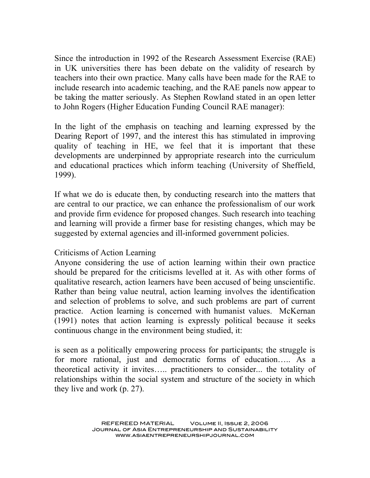Since the introduction in 1992 of the Research Assessment Exercise (RAE) in UK universities there has been debate on the validity of research by teachers into their own practice. Many calls have been made for the RAE to include research into academic teaching, and the RAE panels now appear to be taking the matter seriously. As Stephen Rowland stated in an open letter to John Rogers (Higher Education Funding Council RAE manager):

In the light of the emphasis on teaching and learning expressed by the Dearing Report of 1997, and the interest this has stimulated in improving quality of teaching in HE, we feel that it is important that these developments are underpinned by appropriate research into the curriculum and educational practices which inform teaching (University of Sheffield, 1999).

If what we do is educate then, by conducting research into the matters that are central to our practice, we can enhance the professionalism of our work and provide firm evidence for proposed changes. Such research into teaching and learning will provide a firmer base for resisting changes, which may be suggested by external agencies and ill-informed government policies.

#### Criticisms of Action Learning

Anyone considering the use of action learning within their own practice should be prepared for the criticisms levelled at it. As with other forms of qualitative research, action learners have been accused of being unscientific. Rather than being value neutral, action learning involves the identification and selection of problems to solve, and such problems are part of current practice. Action learning is concerned with humanist values. McKernan (1991) notes that action learning is expressly political because it seeks continuous change in the environment being studied, it:

is seen as a politically empowering process for participants; the struggle is for more rational, just and democratic forms of education….. As a theoretical activity it invites….. practitioners to consider... the totality of relationships within the social system and structure of the society in which they live and work (p. 27).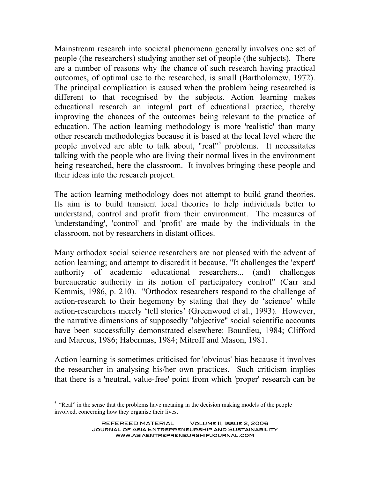Mainstream research into societal phenomena generally involves one set of people (the researchers) studying another set of people (the subjects). There are a number of reasons why the chance of such research having practical outcomes, of optimal use to the researched, is small (Bartholomew, 1972). The principal complication is caused when the problem being researched is different to that recognised by the subjects. Action learning makes educational research an integral part of educational practice, thereby improving the chances of the outcomes being relevant to the practice of education. The action learning methodology is more 'realistic' than many other research methodologies because it is based at the local level where the people involved are able to talk about, "real" <sup>5</sup> problems. It necessitates talking with the people who are living their normal lives in the environment being researched, here the classroom. It involves bringing these people and their ideas into the research project.

The action learning methodology does not attempt to build grand theories. Its aim is to build transient local theories to help individuals better to understand, control and profit from their environment. The measures of 'understanding', 'control' and 'profit' are made by the individuals in the classroom, not by researchers in distant offices.

Many orthodox social science researchers are not pleased with the advent of action learning; and attempt to discredit it because, "It challenges the 'expert' authority of academic educational researchers... (and) challenges bureaucratic authority in its notion of participatory control" (Carr and Kemmis, 1986, p. 210). "Orthodox researchers respond to the challenge of action-research to their hegemony by stating that they do 'science' while action-researchers merely 'tell stories' (Greenwood et al., 1993). However, the narrative dimensions of supposedly "objective" social scientific accounts have been successfully demonstrated elsewhere: Bourdieu, 1984; Clifford and Marcus, 1986; Habermas, 1984; Mitroff and Mason, 1981.

Action learning is sometimes criticised for 'obvious' bias because it involves the researcher in analysing his/her own practices. Such criticism implies that there is a 'neutral, value-free' point from which 'proper' research can be

 $<sup>5</sup>$  "Real" in the sense that the problems have meaning in the decision making models of the people</sup> involved, concerning how they organise their lives.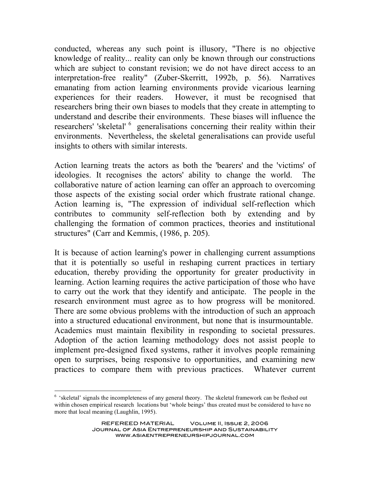conducted, whereas any such point is illusory, "There is no objective knowledge of reality... reality can only be known through our constructions which are subject to constant revision; we do not have direct access to an interpretation-free reality" (Zuber-Skerritt, 1992b, p. 56). Narratives emanating from action learning environments provide vicarious learning experiences for their readers. However, it must be recognised that researchers bring their own biases to models that they create in attempting to understand and describe their environments. These biases will influence the researchers' 'skeletal' <sup>6</sup> generalisations concerning their reality within their environments. Nevertheless, the skeletal generalisations can provide useful insights to others with similar interests.

Action learning treats the actors as both the 'bearers' and the 'victims' of ideologies. It recognises the actors' ability to change the world. The collaborative nature of action learning can offer an approach to overcoming those aspects of the existing social order which frustrate rational change. Action learning is, "The expression of individual self-reflection which contributes to community self-reflection both by extending and by challenging the formation of common practices, theories and institutional structures" (Carr and Kemmis, (1986, p. 205).

It is because of action learning's power in challenging current assumptions that it is potentially so useful in reshaping current practices in tertiary education, thereby providing the opportunity for greater productivity in learning. Action learning requires the active participation of those who have to carry out the work that they identify and anticipate. The people in the research environment must agree as to how progress will be monitored. There are some obvious problems with the introduction of such an approach into a structured educational environment, but none that is insurmountable. Academics must maintain flexibility in responding to societal pressures. Adoption of the action learning methodology does not assist people to implement pre-designed fixed systems, rather it involves people remaining open to surprises, being responsive to opportunities, and examining new practices to compare them with previous practices. Whatever current

<sup>&</sup>lt;sup>6</sup> 'skeletal' signals the incompleteness of any general theory. The skeletal framework can be fleshed out within chosen empirical research locations but 'whole beings' thus created must be considered to have no more that local meaning (Laughlin, 1995).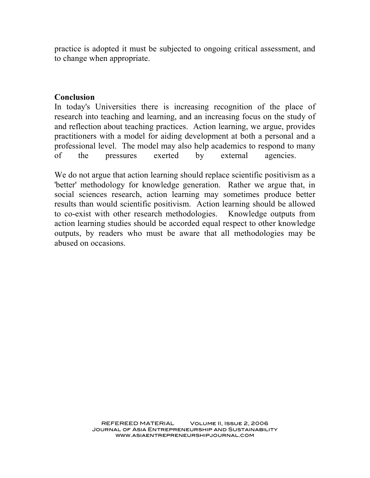practice is adopted it must be subjected to ongoing critical assessment, and to change when appropriate.

#### **Conclusion**

In today's Universities there is increasing recognition of the place of research into teaching and learning, and an increasing focus on the study of and reflection about teaching practices. Action learning, we argue, provides practitioners with a model for aiding development at both a personal and a professional level. The model may also help academics to respond to many of the pressures exerted by external agencies.

We do not argue that action learning should replace scientific positivism as a 'better' methodology for knowledge generation. Rather we argue that, in social sciences research, action learning may sometimes produce better results than would scientific positivism. Action learning should be allowed to co-exist with other research methodologies. Knowledge outputs from action learning studies should be accorded equal respect to other knowledge outputs, by readers who must be aware that all methodologies may be abused on occasions.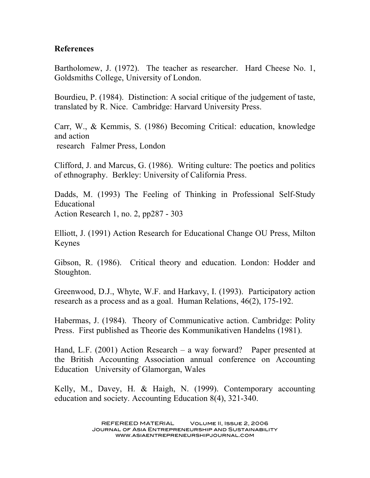### **References**

Bartholomew, J. (1972). The teacher as researcher. Hard Cheese No. 1, Goldsmiths College, University of London.

Bourdieu, P. (1984). Distinction: A social critique of the judgement of taste, translated by R. Nice. Cambridge: Harvard University Press.

Carr, W., & Kemmis, S. (1986) Becoming Critical: education, knowledge and action research Falmer Press, London

Clifford, J. and Marcus, G. (1986). Writing culture: The poetics and politics of ethnography. Berkley: University of California Press.

Dadds, M. (1993) The Feeling of Thinking in Professional Self-Study Educational Action Research 1, no. 2, pp287 - 303

Elliott, J. (1991) Action Research for Educational Change OU Press, Milton Keynes

Gibson, R. (1986). Critical theory and education. London: Hodder and Stoughton.

Greenwood, D.J., Whyte, W.F. and Harkavy, I. (1993). Participatory action research as a process and as a goal. Human Relations, 46(2), 175-192.

Habermas, J. (1984). Theory of Communicative action. Cambridge: Polity Press. First published as Theorie des Kommunikativen Handelns (1981).

Hand, L.F. (2001) Action Research – a way forward? Paper presented at the British Accounting Association annual conference on Accounting Education University of Glamorgan, Wales

Kelly, M., Davey, H. & Haigh, N. (1999). Contemporary accounting education and society. Accounting Education 8(4), 321-340.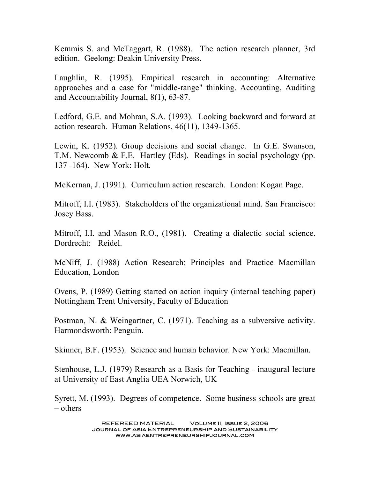Kemmis S. and McTaggart, R. (1988). The action research planner, 3rd edition. Geelong: Deakin University Press.

Laughlin, R. (1995). Empirical research in accounting: Alternative approaches and a case for "middle-range" thinking. Accounting, Auditing and Accountability Journal, 8(1), 63-87.

Ledford, G.E. and Mohran, S.A. (1993). Looking backward and forward at action research. Human Relations, 46(11), 1349-1365.

Lewin, K. (1952). Group decisions and social change. In G.E. Swanson, T.M. Newcomb & F.E. Hartley (Eds). Readings in social psychology (pp. 137 -164). New York: Holt.

McKernan, J. (1991). Curriculum action research. London: Kogan Page.

Mitroff, I.I. (1983). Stakeholders of the organizational mind. San Francisco: Josey Bass.

Mitroff, I.I. and Mason R.O., (1981). Creating a dialectic social science. Dordrecht: Reidel.

McNiff, J. (1988) Action Research: Principles and Practice Macmillan Education, London

Ovens, P. (1989) Getting started on action inquiry (internal teaching paper) Nottingham Trent University, Faculty of Education

Postman, N. & Weingartner, C. (1971). Teaching as a subversive activity. Harmondsworth: Penguin.

Skinner, B.F. (1953). Science and human behavior. New York: Macmillan.

Stenhouse, L.J. (1979) Research as a Basis for Teaching - inaugural lecture at University of East Anglia UEA Norwich, UK

Syrett, M. (1993). Degrees of competence. Some business schools are great – others